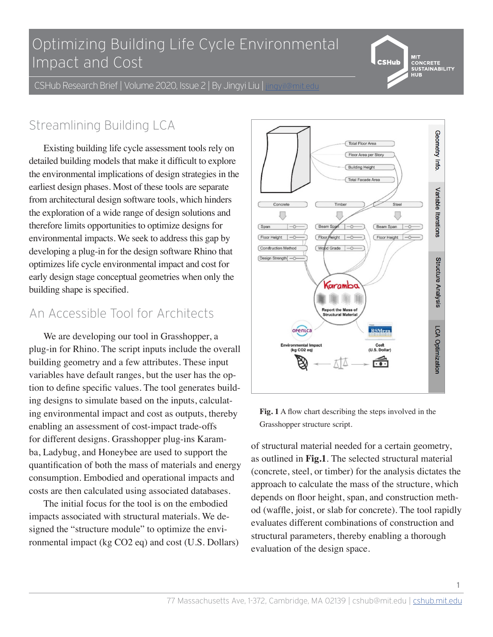### $\overline{\bigcap_{i=1}^{n}}$ Optimizing Building Life Cycle Environmental Impact and Cost

MIT<br>CONCRETE<br>SUSTAINABILITY **CSHub** 

CSHub Research Brief | Volume 2020, Issue 2 | By Jingyi Liu | jingyil@mit.edu

# Streamlining Building LCA

Existing building life cycle assessment tools rely on detailed building models that make it difficult to explore the environmental implications of design strategies in the earliest design phases. Most of these tools are separate from architectural design software tools, which hinders the exploration of a wide range of design solutions and therefore limits opportunities to optimize designs for environmental impacts. We seek to address this gap by developing a plug-in for the design software Rhino that optimizes life cycle environmental impact and cost for early design stage conceptual geometries when only the building shape is specified.

### An Accessible Tool for Architects

We are developing our tool in Grasshopper, a plug-in for Rhino. The script inputs include the overall building geometry and a few attributes. These input variables have default ranges, but the user has the option to define specific values. The tool generates building designs to simulate based on the inputs, calculating environmental impact and cost as outputs, thereby enabling an assessment of cost-impact trade-offs for different designs. Grasshopper plug-ins Karamba, Ladybug, and Honeybee are used to support the quantification of both the mass of materials and energy consumption. Embodied and operational impacts and costs are then calculated using associated databases.

The initial focus for the tool is on the embodied impacts associated with structural materials. We designed the "structure module" to optimize the environmental impact (kg CO2 eq) and cost (U.S. Dollars)



**Fig. 1** A flow chart describing the steps involved in the Grasshopper structure script.

of structural material needed for a certain geometry, as outlined in **Fig.1**. The selected structural material (concrete, steel, or timber) for the analysis dictates the approach to calculate the mass of the structure, which depends on floor height, span, and construction method (waffle, joist, or slab for concrete). The tool rapidly evaluates different combinations of construction and structural parameters, thereby enabling a thorough evaluation of the design space.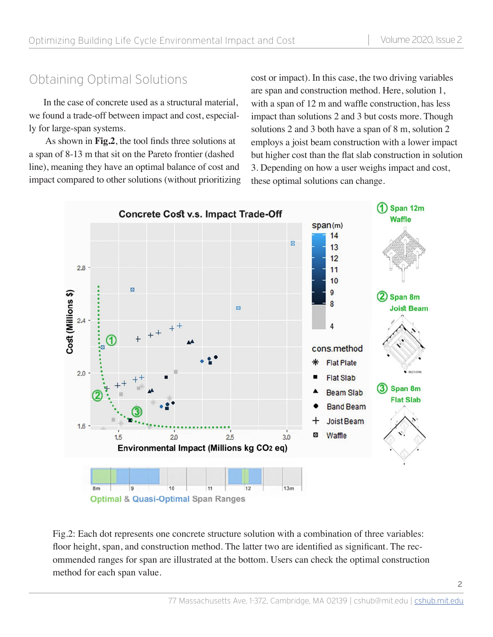In the case of concrete used as a structural material, we found a trade-off between impact and cost, especially for large-span systems.

 As shown in **Fig.2**, the tool finds three solutions at a span of 8-13 m that sit on the Pareto frontier (dashed line), meaning they have an optimal balance of cost and impact compared to other solutions (without prioritizing

Obtaining Optimal Solutions cost or impact). In this case, the two driving variables are span and construction method. Here, solution 1, with a span of 12 m and waffle construction, has less impact than solutions 2 and 3 but costs more. Though solutions 2 and 3 both have a span of 8 m, solution 2 employs a joist beam construction with a lower impact but higher cost than the flat slab construction in solution 3. Depending on how a user weighs impact and cost, these optimal solutions can change.



Fig.2: Each dot represents one concrete structure solution with a combination of three variables: floor height, span, and construction method. The latter two are identified as significant. The recommended ranges for span are illustrated at the bottom. Users can check the optimal construction method for each span value.